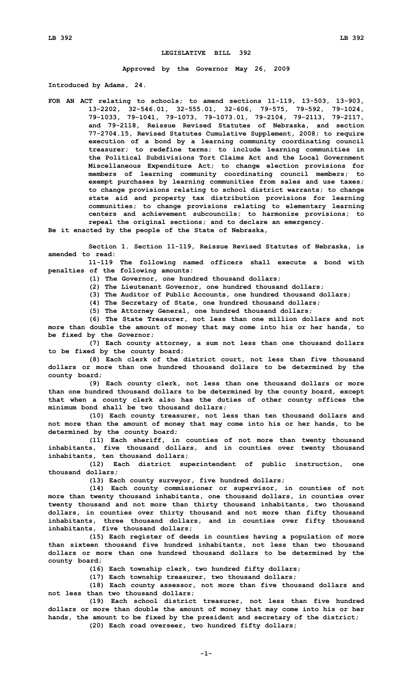## **LEGISLATIVE BILL 392**

**Approved by the Governor May 26, 2009**

**Introduced by Adams, 24.**

**FOR AN ACT relating to schools; to amend sections 11-119, 13-503, 13-903, 13-2202, 32-546.01, 32-555.01, 32-606, 79-575, 79-592, 79-1024, 79-1033, 79-1041, 79-1073, 79-1073.01, 79-2104, 79-2113, 79-2117, and 79-2118, Reissue Revised Statutes of Nebraska, and section 77-2704.15, Revised Statutes Cumulative Supplement, 2008; to require execution of <sup>a</sup> bond by <sup>a</sup> learning community coordinating council treasurer; to redefine terms; to include learning communities in the Political Subdivisions Tort Claims Act and the Local Government Miscellaneous Expenditure Act; to change election provisions for members of learning community coordinating council members; to exempt purchases by learning communities from sales and use taxes; to change provisions relating to school district warrants; to change state aid and property tax distribution provisions for learning communities; to change provisions relating to elementary learning centers and achievement subcouncils; to harmonize provisions; to repeal the original sections; and to declare an emergency.**

**Be it enacted by the people of the State of Nebraska,**

**Section 1. Section 11-119, Reissue Revised Statutes of Nebraska, is amended to read:**

**11-119 The following named officers shall execute <sup>a</sup> bond with penalties of the following amounts:**

**(1) The Governor, one hundred thousand dollars;**

**(2) The Lieutenant Governor, one hundred thousand dollars;**

**(3) The Auditor of Public Accounts, one hundred thousand dollars;**

**(4) The Secretary of State, one hundred thousand dollars;**

**(5) The Attorney General, one hundred thousand dollars;**

**(6) The State Treasurer, not less than one million dollars and not more than double the amount of money that may come into his or her hands, to be fixed by the Governor;**

**(7) Each county attorney, <sup>a</sup> sum not less than one thousand dollars to be fixed by the county board;**

**(8) Each clerk of the district court, not less than five thousand dollars or more than one hundred thousand dollars to be determined by the county board;**

**(9) Each county clerk, not less than one thousand dollars or more than one hundred thousand dollars to be determined by the county board, except that when <sup>a</sup> county clerk also has the duties of other county offices the minimum bond shall be two thousand dollars;**

**(10) Each county treasurer, not less than ten thousand dollars and not more than the amount of money that may come into his or her hands, to be determined by the county board;**

**(11) Each sheriff, in counties of not more than twenty thousand inhabitants, five thousand dollars, and in counties over twenty thousand inhabitants, ten thousand dollars;**

**(12) Each district superintendent of public instruction, one thousand dollars;**

**(13) Each county surveyor, five hundred dollars;**

**(14) Each county commissioner or supervisor, in counties of not more than twenty thousand inhabitants, one thousand dollars, in counties over twenty thousand and not more than thirty thousand inhabitants, two thousand dollars, in counties over thirty thousand and not more than fifty thousand inhabitants, three thousand dollars, and in counties over fifty thousand inhabitants, five thousand dollars;**

**(15) Each register of deeds in counties having <sup>a</sup> population of more than sixteen thousand five hundred inhabitants, not less than two thousand dollars or more than one hundred thousand dollars to be determined by the county board;**

**(16) Each township clerk, two hundred fifty dollars;**

**(17) Each township treasurer, two thousand dollars;**

**(18) Each county assessor, not more than five thousand dollars and not less than two thousand dollars;**

**(19) Each school district treasurer, not less than five hundred dollars or more than double the amount of money that may come into his or her hands, the amount to be fixed by the president and secretary of the district;**

**(20) Each road overseer, two hundred fifty dollars;**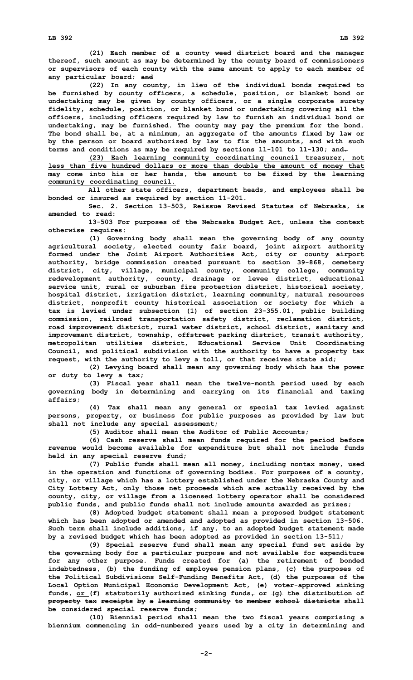**(21) Each member of <sup>a</sup> county weed district board and the manager thereof, such amount as may be determined by the county board of commissioners or supervisors of each county with the same amount to apply to each member of any particular board; and**

**(22) In any county, in lieu of the individual bonds required to be furnished by county officers, <sup>a</sup> schedule, position, or blanket bond or undertaking may be given by county officers, or <sup>a</sup> single corporate surety fidelity, schedule, position, or blanket bond or undertaking covering all the officers, including officers required by law to furnish an individual bond or undertaking, may be furnished. The county may pay the premium for the bond. The bond shall be, at <sup>a</sup> minimum, an aggregate of the amounts fixed by law or by the person or board authorized by law to fix the amounts, and with such terms and conditions as may be required by sections 11-101 to 11-130; and.**

**(23) Each learning community coordinating council treasurer, not less than five hundred dollars or more than double the amount of money that may come into his or her hands, the amount to be fixed by the learning community coordinating council.**

**All other state officers, department heads, and employees shall be bonded or insured as required by section 11-201.**

**Sec. 2. Section 13-503, Reissue Revised Statutes of Nebraska, is amended to read:**

**13-503 For purposes of the Nebraska Budget Act, unless the context otherwise requires:**

**(1) Governing body shall mean the governing body of any county agricultural society, elected county fair board, joint airport authority formed under the Joint Airport Authorities Act, city or county airport authority, bridge commission created pursuant to section 39-868, cemetery district, city, village, municipal county, community college, community redevelopment authority, county, drainage or levee district, educational service unit, rural or suburban fire protection district, historical society, hospital district, irrigation district, learning community, natural resources district, nonprofit county historical association or society for which <sup>a</sup> tax is levied under subsection (1) of section 23-355.01, public building commission, railroad transportation safety district, reclamation district, road improvement district, rural water district, school district, sanitary and improvement district, township, offstreet parking district, transit authority, metropolitan utilities district, Educational Service Unit Coordinating Council, and political subdivision with the authority to have <sup>a</sup> property tax request, with the authority to levy <sup>a</sup> toll, or that receives state aid;**

**(2) Levying board shall mean any governing body which has the power or duty to levy <sup>a</sup> tax;**

**(3) Fiscal year shall mean the twelve-month period used by each governing body in determining and carrying on its financial and taxing affairs;**

**(4) Tax shall mean any general or special tax levied against persons, property, or business for public purposes as provided by law but shall not include any special assessment;**

**(5) Auditor shall mean the Auditor of Public Accounts;**

**(6) Cash reserve shall mean funds required for the period before revenue would become available for expenditure but shall not include funds held in any special reserve fund;**

**(7) Public funds shall mean all money, including nontax money, used in the operation and functions of governing bodies. For purposes of <sup>a</sup> county, city, or village which has <sup>a</sup> lottery established under the Nebraska County and City Lottery Act, only those net proceeds which are actually received by the county, city, or village from <sup>a</sup> licensed lottery operator shall be considered public funds, and public funds shall not include amounts awarded as prizes;**

**(8) Adopted budget statement shall mean <sup>a</sup> proposed budget statement which has been adopted or amended and adopted as provided in section 13-506. Such term shall include additions, if any, to an adopted budget statement made by <sup>a</sup> revised budget which has been adopted as provided in section 13-511;**

**(9) Special reserve fund shall mean any special fund set aside by the governing body for <sup>a</sup> particular purpose and not available for expenditure for any other purpose. Funds created for (a) the retirement of bonded indebtedness, (b) the funding of employee pension plans, (c) the purposes of the Political Subdivisions Self-Funding Benefits Act, (d) the purposes of the Local Option Municipal Economic Development Act, (e) voter-approved sinking funds, or (f) statutorily authorized sinking funds, or (g) the distribution of property tax receipts by <sup>a</sup> learning community to member school districts shall be considered special reserve funds;**

**(10) Biennial period shall mean the two fiscal years comprising <sup>a</sup> biennium commencing in odd-numbered years used by <sup>a</sup> city in determining and**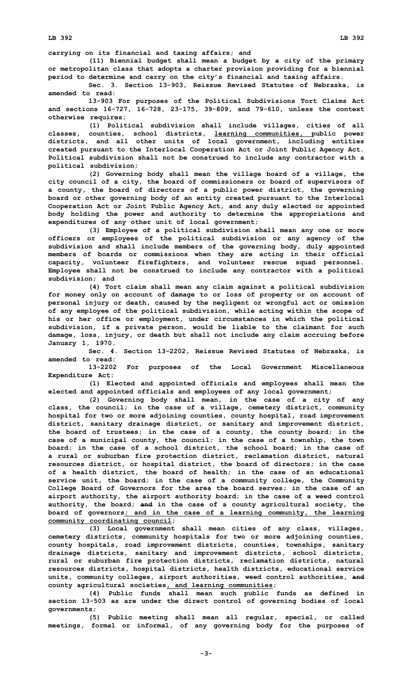**carrying on its financial and taxing affairs; and**

**(11) Biennial budget shall mean <sup>a</sup> budget by <sup>a</sup> city of the primary or metropolitan class that adopts <sup>a</sup> charter provision providing for <sup>a</sup> biennial period to determine and carry on the city's financial and taxing affairs.**

**Sec. 3. Section 13-903, Reissue Revised Statutes of Nebraska, is amended to read:**

**13-903 For purposes of the Political Subdivisions Tort Claims Act and sections 16-727, 16-728, 23-175, 39-809, and 79-610, unless the context otherwise requires:**

**(1) Political subdivision shall include villages, cities of all classes, counties, school districts, learning communities, public power districts, and all other units of local government, including entities created pursuant to the Interlocal Cooperation Act or Joint Public Agency Act. Political subdivision shall not be construed to include any contractor with <sup>a</sup> political subdivision;**

**(2) Governing body shall mean the village board of <sup>a</sup> village, the city council of <sup>a</sup> city, the board of commissioners or board of supervisors of <sup>a</sup> county, the board of directors of <sup>a</sup> public power district, the governing board or other governing body of an entity created pursuant to the Interlocal Cooperation Act or Joint Public Agency Act, and any duly elected or appointed body holding the power and authority to determine the appropriations and expenditures of any other unit of local government;**

**(3) Employee of <sup>a</sup> political subdivision shall mean any one or more officers or employees of the political subdivision or any agency of the subdivision and shall include members of the governing body, duly appointed members of boards or commissions when they are acting in their official capacity, volunteer firefighters, and volunteer rescue squad personnel. Employee shall not be construed to include any contractor with <sup>a</sup> political subdivision; and**

**(4) Tort claim shall mean any claim against <sup>a</sup> political subdivision for money only on account of damage to or loss of property or on account of personal injury or death, caused by the negligent or wrongful act or omission of any employee of the political subdivision, while acting within the scope of his or her office or employment, under circumstances in which the political subdivision, if <sup>a</sup> private person, would be liable to the claimant for such damage, loss, injury, or death but shall not include any claim accruing before January 1, 1970.**

**Sec. 4. Section 13-2202, Reissue Revised Statutes of Nebraska, is amended to read:**

**13-2202 For purposes of the Local Government Miscellaneous Expenditure Act:**

**(1) Elected and appointed officials and employees shall mean the elected and appointed officials and employees of any local government;**

**(2) Governing body shall mean, in the case of <sup>a</sup> city of any class, the council; in the case of <sup>a</sup> village, cemetery district, community hospital for two or more adjoining counties, county hospital, road improvement district, sanitary drainage district, or sanitary and improvement district, the board of trustees; in the case of <sup>a</sup> county, the county board; in the case of <sup>a</sup> municipal county, the council; in the case of <sup>a</sup> township, the town board; in the case of <sup>a</sup> school district, the school board; in the case of <sup>a</sup> rural or suburban fire protection district, reclamation district, natural resources district, or hospital district, the board of directors; in the case of <sup>a</sup> health district, the board of health; in the case of an educational service unit, the board; in the case of <sup>a</sup> community college, the Community College Board of Governors for the area the board serves; in the case of an airport authority, the airport authority board; in the case of <sup>a</sup> weed control authority, the board; and in the case of <sup>a</sup> county agricultural society, the board of governors; and in the case of <sup>a</sup> learning community, the learning community coordinating council;**

**(3) Local government shall mean cities of any class, villages, cemetery districts, community hospitals for two or more adjoining counties, county hospitals, road improvement districts, counties, townships, sanitary drainage districts, sanitary and improvement districts, school districts, rural or suburban fire protection districts, reclamation districts, natural resources districts, hospital districts, health districts, educational service units, community colleges, airport authorities, weed control authorities, and county agricultural societies, and learning communities;**

**(4) Public funds shall mean such public funds as defined in section 13-503 as are under the direct control of governing bodies of local governments;**

**(5) Public meeting shall mean all regular, special, or called meetings, formal or informal, of any governing body for the purposes of**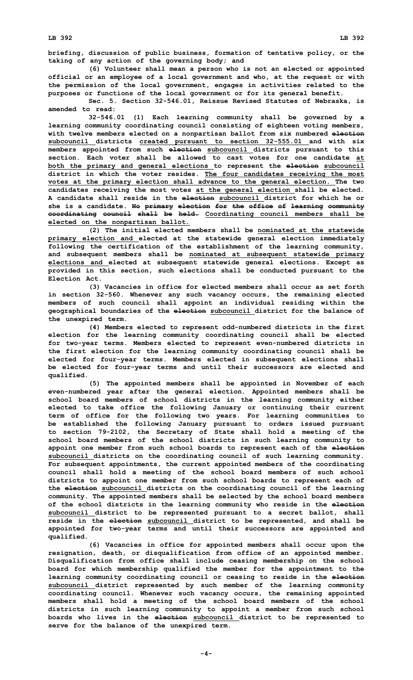**briefing, discussion of public business, formation of tentative policy, or the taking of any action of the governing body; and**

**(6) Volunteer shall mean <sup>a</sup> person who is not an elected or appointed official or an employee of <sup>a</sup> local government and who, at the request or with the permission of the local government, engages in activities related to the purposes or functions of the local government or for its general benefit.**

**Sec. 5. Section 32-546.01, Reissue Revised Statutes of Nebraska, is amended to read:**

**32-546.01 (1) Each learning community shall be governed by <sup>a</sup> learning community coordinating council consisting of eighteen voting members, with twelve members elected on <sup>a</sup> nonpartisan ballot from six numbered election subcouncil districts created pursuant to section 32-555.01 and with six members appointed from such election subcouncil districts pursuant to this section. Each voter shall be allowed to cast votes for one candidate at both the primary and general elections to represent the election subcouncil district in which the voter resides. The four candidates receiving the most votes at the primary election shall advance to the general election. The two candidates receiving the most votes at the general election shall be elected. A candidate shall reside in the election subcouncil district for which he or she is <sup>a</sup> candidate. No primary election for the office of learning community coordinating council shall be held. Coordinating council members shall be elected on the nonpartisan ballot.**

**(2) The initial elected members shall be nominated at the statewide primary election and elected at the statewide general election immediately following the certification of the establishment of the learning community, and subsequent members shall be nominated at subsequent statewide primary elections and elected at subsequent statewide general elections. Except as provided in this section, such elections shall be conducted pursuant to the Election Act.**

**(3) Vacancies in office for elected members shall occur as set forth in section 32-560. Whenever any such vacancy occurs, the remaining elected members of such council shall appoint an individual residing within the geographical boundaries of the election subcouncil district for the balance of the unexpired term.**

**(4) Members elected to represent odd-numbered districts in the first election for the learning community coordinating council shall be elected for two-year terms. Members elected to represent even-numbered districts in the first election for the learning community coordinating council shall be elected for four-year terms. Members elected in subsequent elections shall be elected for four-year terms and until their successors are elected and qualified.**

**(5) The appointed members shall be appointed in November of each even-numbered year after the general election. Appointed members shall be school board members of school districts in the learning community either elected to take office the following January or continuing their current term of office for the following two years. For learning communities to be established the following January pursuant to orders issued pursuant to section 79-2102, the Secretary of State shall hold <sup>a</sup> meeting of the school board members of the school districts in such learning community to appoint one member from such school boards to represent each of the election subcouncil districts on the coordinating council of such learning community. For subsequent appointments, the current appointed members of the coordinating council shall hold <sup>a</sup> meeting of the school board members of such school districts to appoint one member from such school boards to represent each of the election subcouncil districts on the coordinating council of the learning community. The appointed members shall be selected by the school board members of the school districts in the learning community who reside in the election subcouncil district to be represented pursuant to <sup>a</sup> secret ballot, shall reside in the election subcouncil district to be represented, and shall be appointed for two-year terms and until their successors are appointed and qualified.**

**(6) Vacancies in office for appointed members shall occur upon the resignation, death, or disqualification from office of an appointed member. Disqualification from office shall include ceasing membership on the school board for which membership qualified the member for the appointment to the learning community coordinating council or ceasing to reside in the election subcouncil district represented by such member of the learning community coordinating council. Whenever such vacancy occurs, the remaining appointed members shall hold <sup>a</sup> meeting of the school board members of the school districts in such learning community to appoint <sup>a</sup> member from such school boards who lives in the election subcouncil district to be represented to serve for the balance of the unexpired term.**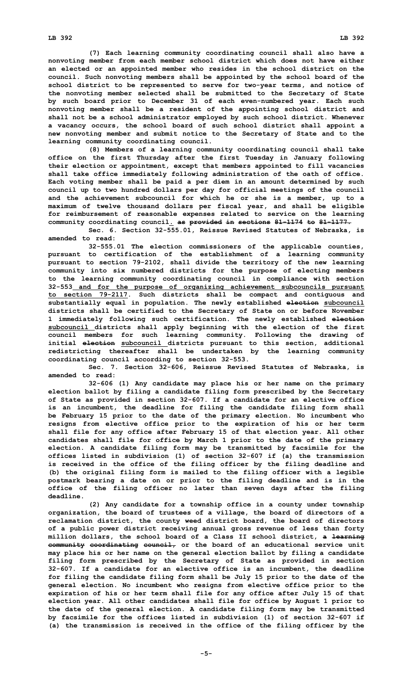**(7) Each learning community coordinating council shall also have <sup>a</sup> nonvoting member from each member school district which does not have either an elected or an appointed member who resides in the school district on the council. Such nonvoting members shall be appointed by the school board of the school district to be represented to serve for two-year terms, and notice of the nonvoting member selected shall be submitted to the Secretary of State by such board prior to December 31 of each even-numbered year. Each such nonvoting member shall be <sup>a</sup> resident of the appointing school district and shall not be <sup>a</sup> school administrator employed by such school district. Whenever <sup>a</sup> vacancy occurs, the school board of such school district shall appoint <sup>a</sup> new nonvoting member and submit notice to the Secretary of State and to the learning community coordinating council.**

**(8) Members of <sup>a</sup> learning community coordinating council shall take office on the first Thursday after the first Tuesday in January following their election or appointment, except that members appointed to fill vacancies shall take office immediately following administration of the oath of office. Each voting member shall be paid <sup>a</sup> per diem in an amount determined by such council up to two hundred dollars per day for official meetings of the council and the achievement subcouncil for which he or she is <sup>a</sup> member, up to <sup>a</sup> maximum of twelve thousand dollars per fiscal year, and shall be eligible for reimbursement of reasonable expenses related to service on the learning community coordinating council. as provided in sections 81-1174 to 81-1177.**

**Sec. 6. Section 32-555.01, Reissue Revised Statutes of Nebraska, is amended to read:**

**32-555.01 The election commissioners of the applicable counties, pursuant to certification of the establishment of <sup>a</sup> learning community pursuant to section 79-2102, shall divide the territory of the new learning community into six numbered districts for the purpose of electing members to the learning community coordinating council in compliance with section 32-553 and for the purpose of organizing achievement subcouncils pursuant to section 79-2117. Such districts shall be compact and contiguous and substantially equal in population. The newly established election subcouncil districts shall be certified to the Secretary of State on or before November 1 immediately following such certification. The newly established election subcouncil districts shall apply beginning with the election of the first council members for such learning community. Following the drawing of initial election subcouncil districts pursuant to this section, additional redistricting thereafter shall be undertaken by the learning community coordinating council according to section 32-553.**

**Sec. 7. Section 32-606, Reissue Revised Statutes of Nebraska, is amended to read:**

**32-606 (1) Any candidate may place his or her name on the primary election ballot by filing <sup>a</sup> candidate filing form prescribed by the Secretary of State as provided in section 32-607. If <sup>a</sup> candidate for an elective office is an incumbent, the deadline for filing the candidate filing form shall be February 15 prior to the date of the primary election. No incumbent who resigns from elective office prior to the expiration of his or her term shall file for any office after February 15 of that election year. All other candidates shall file for office by March 1 prior to the date of the primary election. A candidate filing form may be transmitted by facsimile for the offices listed in subdivision (1) of section 32-607 if (a) the transmission is received in the office of the filing officer by the filing deadline and (b) the original filing form is mailed to the filing officer with <sup>a</sup> legible postmark bearing <sup>a</sup> date on or prior to the filing deadline and is in the office of the filing officer no later than seven days after the filing deadline.**

**(2) Any candidate for <sup>a</sup> township office in <sup>a</sup> county under township organization, the board of trustees of <sup>a</sup> village, the board of directors of <sup>a</sup> reclamation district, the county weed district board, the board of directors of <sup>a</sup> public power district receiving annual gross revenue of less than forty million dollars, the school board of <sup>a</sup> Class II school district, <sup>a</sup> learning community coordinating council, or the board of an educational service unit may place his or her name on the general election ballot by filing <sup>a</sup> candidate filing form prescribed by the Secretary of State as provided in section 32-607. If <sup>a</sup> candidate for an elective office is an incumbent, the deadline for filing the candidate filing form shall be July 15 prior to the date of the general election. No incumbent who resigns from elective office prior to the expiration of his or her term shall file for any office after July 15 of that election year. All other candidates shall file for office by August 1 prior to the date of the general election. A candidate filing form may be transmitted by facsimile for the offices listed in subdivision (1) of section 32-607 if (a) the transmission is received in the office of the filing officer by the**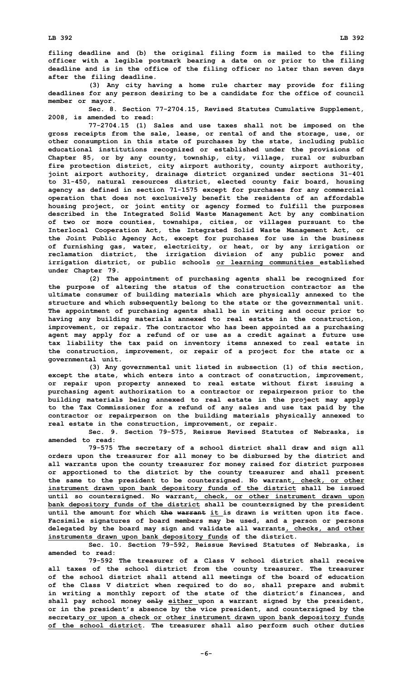**filing deadline and (b) the original filing form is mailed to the filing officer with <sup>a</sup> legible postmark bearing <sup>a</sup> date on or prior to the filing deadline and is in the office of the filing officer no later than seven days after the filing deadline.**

**(3) Any city having <sup>a</sup> home rule charter may provide for filing deadlines for any person desiring to be <sup>a</sup> candidate for the office of council member or mayor.**

**Sec. 8. Section 77-2704.15, Revised Statutes Cumulative Supplement, 2008, is amended to read:**

**77-2704.15 (1) Sales and use taxes shall not be imposed on the gross receipts from the sale, lease, or rental of and the storage, use, or other consumption in this state of purchases by the state, including public educational institutions recognized or established under the provisions of Chapter 85, or by any county, township, city, village, rural or suburban fire protection district, city airport authority, county airport authority, joint airport authority, drainage district organized under sections 31-401 to 31-450, natural resources district, elected county fair board, housing agency as defined in section 71-1575 except for purchases for any commercial operation that does not exclusively benefit the residents of an affordable housing project, or joint entity or agency formed to fulfill the purposes described in the Integrated Solid Waste Management Act by any combination of two or more counties, townships, cities, or villages pursuant to the Interlocal Cooperation Act, the Integrated Solid Waste Management Act, or the Joint Public Agency Act, except for purchases for use in the business of furnishing gas, water, electricity, or heat, or by any irrigation or reclamation district, the irrigation division of any public power and irrigation district, or public schools or learning communities established under Chapter 79.**

**(2) The appointment of purchasing agents shall be recognized for the purpose of altering the status of the construction contractor as the ultimate consumer of building materials which are physically annexed to the structure and which subsequently belong to the state or the governmental unit. The appointment of purchasing agents shall be in writing and occur prior to having any building materials annexed to real estate in the construction, improvement, or repair. The contractor who has been appointed as <sup>a</sup> purchasing agent may apply for <sup>a</sup> refund of or use as <sup>a</sup> credit against <sup>a</sup> future use tax liability the tax paid on inventory items annexed to real estate in the construction, improvement, or repair of <sup>a</sup> project for the state or <sup>a</sup> governmental unit.**

**(3) Any governmental unit listed in subsection (1) of this section, except the state, which enters into <sup>a</sup> contract of construction, improvement, or repair upon property annexed to real estate without first issuing <sup>a</sup> purchasing agent authorization to <sup>a</sup> contractor or repairperson prior to the building materials being annexed to real estate in the project may apply to the Tax Commissioner for <sup>a</sup> refund of any sales and use tax paid by the contractor or repairperson on the building materials physically annexed to real estate in the construction, improvement, or repair.**

**Sec. 9. Section 79-575, Reissue Revised Statutes of Nebraska, is amended to read:**

**79-575 The secretary of <sup>a</sup> school district shall draw and sign all orders upon the treasurer for all money to be disbursed by the district and all warrants upon the county treasurer for money raised for district purposes or apportioned to the district by the county treasurer and shall present the same to the president to be countersigned. No warrant, check, or other instrument drawn upon bank depository funds of the district shall be issued until so countersigned. No warrant, check, or other instrument drawn upon bank depository funds of the district shall be countersigned by the president until the amount for which the warrant it is drawn is written upon its face. Facsimile signatures of board members may be used, and <sup>a</sup> person or persons delegated by the board may sign and validate all warrants, checks, and other instruments drawn upon bank depository funds of the district.**

**Sec. 10. Section 79-592, Reissue Revised Statutes of Nebraska, is amended to read:**

**79-592 The treasurer of a Class V school district shall receive all taxes of the school district from the county treasurer. The treasurer of the school district shall attend all meetings of the board of education of the Class V district when required to do so, shall prepare and submit in writing <sup>a</sup> monthly report of the state of the district's finances, and shall pay school money only either upon <sup>a</sup> warrant signed by the president, or in the president's absence by the vice president, and countersigned by the secretary or upon <sup>a</sup> check or other instrument drawn upon bank depository funds of the school district. The treasurer shall also perform such other duties**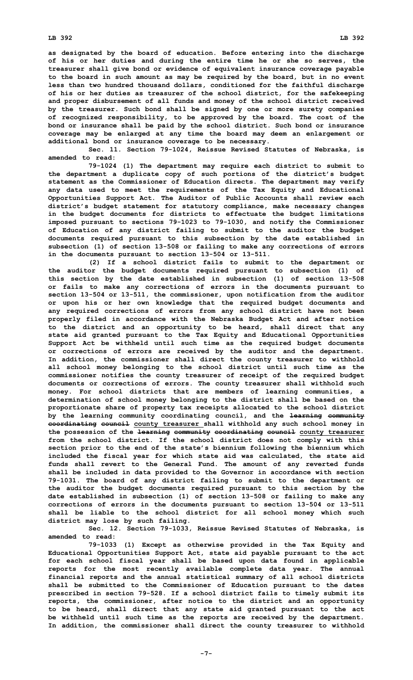**as designated by the board of education. Before entering into the discharge of his or her duties and during the entire time he or she so serves, the treasurer shall give bond or evidence of equivalent insurance coverage payable to the board in such amount as may be required by the board, but in no event less than two hundred thousand dollars, conditioned for the faithful discharge of his or her duties as treasurer of the school district, for the safekeeping and proper disbursement of all funds and money of the school district received by the treasurer. Such bond shall be signed by one or more surety companies of recognized responsibility, to be approved by the board. The cost of the bond or insurance shall be paid by the school district. Such bond or insurance coverage may be enlarged at any time the board may deem an enlargement or additional bond or insurance coverage to be necessary.**

**Sec. 11. Section 79-1024, Reissue Revised Statutes of Nebraska, is amended to read:**

**79-1024 (1) The department may require each district to submit to the department <sup>a</sup> duplicate copy of such portions of the district's budget statement as the Commissioner of Education directs. The department may verify any data used to meet the requirements of the Tax Equity and Educational Opportunities Support Act. The Auditor of Public Accounts shall review each district's budget statement for statutory compliance, make necessary changes in the budget documents for districts to effectuate the budget limitations imposed pursuant to sections 79-1023 to 79-1030, and notify the Commissioner of Education of any district failing to submit to the auditor the budget documents required pursuant to this subsection by the date established in subsection (1) of section 13-508 or failing to make any corrections of errors in the documents pursuant to section 13-504 or 13-511.**

**(2) If <sup>a</sup> school district fails to submit to the department or the auditor the budget documents required pursuant to subsection (1) of this section by the date established in subsection (1) of section 13-508 or fails to make any corrections of errors in the documents pursuant to section 13-504 or 13-511, the commissioner, upon notification from the auditor or upon his or her own knowledge that the required budget documents and any required corrections of errors from any school district have not been properly filed in accordance with the Nebraska Budget Act and after notice to the district and an opportunity to be heard, shall direct that any state aid granted pursuant to the Tax Equity and Educational Opportunities Support Act be withheld until such time as the required budget documents or corrections of errors are received by the auditor and the department. In addition, the commissioner shall direct the county treasurer to withhold all school money belonging to the school district until such time as the commissioner notifies the county treasurer of receipt of the required budget documents or corrections of errors. The county treasurer shall withhold such money. For school districts that are members of learning communities, <sup>a</sup> determination of school money belonging to the district shall be based on the proportionate share of property tax receipts allocated to the school district by the learning community coordinating council, and the learning community coordinating council county treasurer shall withhold any such school money in the possession of the learning community coordinating council county treasurer from the school district. If the school district does not comply with this section prior to the end of the state's biennium following the biennium which included the fiscal year for which state aid was calculated, the state aid funds shall revert to the General Fund. The amount of any reverted funds shall be included in data provided to the Governor in accordance with section 79-1031. The board of any district failing to submit to the department or the auditor the budget documents required pursuant to this section by the date established in subsection (1) of section 13-508 or failing to make any corrections of errors in the documents pursuant to section 13-504 or 13-511 shall be liable to the school district for all school money which such district may lose by such failing.**

**Sec. 12. Section 79-1033, Reissue Revised Statutes of Nebraska, is amended to read:**

**79-1033 (1) Except as otherwise provided in the Tax Equity and Educational Opportunities Support Act, state aid payable pursuant to the act for each school fiscal year shall be based upon data found in applicable reports for the most recently available complete data year. The annual financial reports and the annual statistical summary of all school districts shall be submitted to the Commissioner of Education pursuant to the dates prescribed in section 79-528. If <sup>a</sup> school district fails to timely submit its reports, the commissioner, after notice to the district and an opportunity to be heard, shall direct that any state aid granted pursuant to the act be withheld until such time as the reports are received by the department. In addition, the commissioner shall direct the county treasurer to withhold**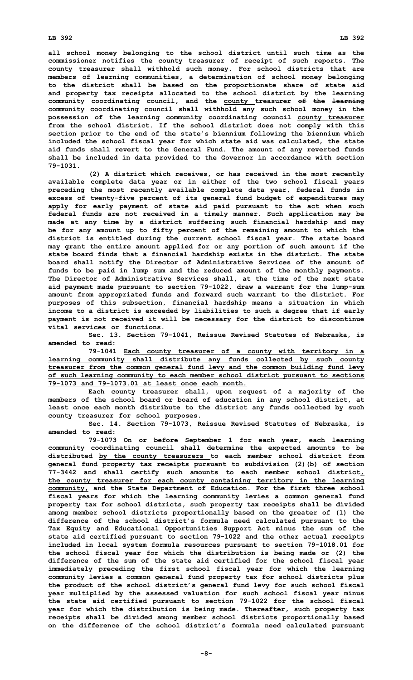**all school money belonging to the school district until such time as the commissioner notifies the county treasurer of receipt of such reports. The county treasurer shall withhold such money. For school districts that are members of learning communities, <sup>a</sup> determination of school money belonging to the district shall be based on the proportionate share of state aid and property tax receipts allocated to the school district by the learning community coordinating council, and the county treasurer of the learning community coordinating council shall withhold any such school money in the possession of the learning community coordinating council county treasurer from the school district. If the school district does not comply with this section prior to the end of the state's biennium following the biennium which included the school fiscal year for which state aid was calculated, the state aid funds shall revert to the General Fund. The amount of any reverted funds shall be included in data provided to the Governor in accordance with section 79-1031.**

**(2) <sup>A</sup> district which receives, or has received in the most recently available complete data year or in either of the two school fiscal years preceding the most recently available complete data year, federal funds in excess of twenty-five percent of its general fund budget of expenditures may apply for early payment of state aid paid pursuant to the act when such federal funds are not received in <sup>a</sup> timely manner. Such application may be made at any time by <sup>a</sup> district suffering such financial hardship and may be for any amount up to fifty percent of the remaining amount to which the district is entitled during the current school fiscal year. The state board may grant the entire amount applied for or any portion of such amount if the state board finds that <sup>a</sup> financial hardship exists in the district. The state board shall notify the Director of Administrative Services of the amount of funds to be paid in lump sum and the reduced amount of the monthly payments. The Director of Administrative Services shall, at the time of the next state aid payment made pursuant to section 79-1022, draw <sup>a</sup> warrant for the lump-sum amount from appropriated funds and forward such warrant to the district. For purposes of this subsection, financial hardship means <sup>a</sup> situation in which income to <sup>a</sup> district is exceeded by liabilities to such <sup>a</sup> degree that if early payment is not received it will be necessary for the district to discontinue vital services or functions.**

**Sec. 13. Section 79-1041, Reissue Revised Statutes of Nebraska, is amended to read:**

**79-1041 Each county treasurer of <sup>a</sup> county with territory in <sup>a</sup> learning community shall distribute any funds collected by such county treasurer from the common general fund levy and the common building fund levy of such learning community to each member school district pursuant to sections 79-1073 and 79-1073.01 at least once each month.**

**Each county treasurer shall, upon request of <sup>a</sup> majority of the members of the school board or board of education in any school district, at least once each month distribute to the district any funds collected by such county treasurer for school purposes.**

**Sec. 14. Section 79-1073, Reissue Revised Statutes of Nebraska, is amended to read:**

**79-1073 On or before September 1 for each year, each learning community coordinating council shall determine the expected amounts to be distributed by the county treasurers to each member school district from general fund property tax receipts pursuant to subdivision (2)(b) of section 77-3442 and shall certify such amounts to each member school district, the county treasurer for each county containing territory in the learning community, and the State Department of Education. For the first three school fiscal years for which the learning community levies <sup>a</sup> common general fund property tax for school districts, such property tax receipts shall be divided among member school districts proportionally based on the greater of (1) the difference of the school district's formula need calculated pursuant to the Tax Equity and Educational Opportunities Support Act minus the sum of the state aid certified pursuant to section 79-1022 and the other actual receipts included in local system formula resources pursuant to section 79-1018.01 for the school fiscal year for which the distribution is being made or (2) the difference of the sum of the state aid certified for the school fiscal year immediately preceding the first school fiscal year for which the learning community levies <sup>a</sup> common general fund property tax for school districts plus the product of the school district's general fund levy for such school fiscal year multiplied by the assessed valuation for such school fiscal year minus the state aid certified pursuant to section 79-1022 for the school fiscal year for which the distribution is being made. Thereafter, such property tax receipts shall be divided among member school districts proportionally based on the difference of the school district's formula need calculated pursuant**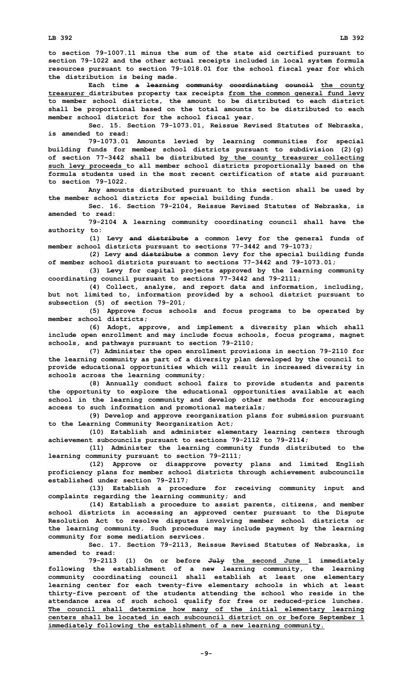**to section 79-1007.11 minus the sum of the state aid certified pursuant to section 79-1022 and the other actual receipts included in local system formula resources pursuant to section 79-1018.01 for the school fiscal year for which the distribution is being made.**

**Each time <sup>a</sup> learning community coordinating council the county treasurer distributes property tax receipts from the common general fund levy to member school districts, the amount to be distributed to each district shall be proportional based on the total amounts to be distributed to each member school district for the school fiscal year.**

**Sec. 15. Section 79-1073.01, Reissue Revised Statutes of Nebraska, is amended to read:**

**79-1073.01 Amounts levied by learning communities for special building funds for member school districts pursuant to subdivision (2)(g) of section 77-3442 shall be distributed by the county treasurer collecting such levy proceeds to all member school districts proportionally based on the formula students used in the most recent certification of state aid pursuant to section 79-1022.**

**Any amounts distributed pursuant to this section shall be used by the member school districts for special building funds.**

**Sec. 16. Section 79-2104, Reissue Revised Statutes of Nebraska, is amended to read:**

**79-2104 <sup>A</sup> learning community coordinating council shall have the authority to:**

**(1) Levy and distribute <sup>a</sup> common levy for the general funds of member school districts pursuant to sections 77-3442 and 79-1073;**

**(2) Levy and distribute <sup>a</sup> common levy for the special building funds of member school districts pursuant to sections 77-3442 and 79-1073.01;**

**(3) Levy for capital projects approved by the learning community coordinating council pursuant to sections 77-3442 and 79-2111;**

**(4) Collect, analyze, and report data and information, including, but not limited to, information provided by <sup>a</sup> school district pursuant to subsection (5) of section 79-201;**

**(5) Approve focus schools and focus programs to be operated by member school districts;**

**(6) Adopt, approve, and implement <sup>a</sup> diversity plan which shall include open enrollment and may include focus schools, focus programs, magnet schools, and pathways pursuant to section 79-2110;**

**(7) Administer the open enrollment provisions in section 79-2110 for the learning community as part of <sup>a</sup> diversity plan developed by the council to provide educational opportunities which will result in increased diversity in schools across the learning community;**

**(8) Annually conduct school fairs to provide students and parents the opportunity to explore the educational opportunities available at each school in the learning community and develop other methods for encouraging access to such information and promotional materials;**

**(9) Develop and approve reorganization plans for submission pursuant to the Learning Community Reorganization Act;**

**(10) Establish and administer elementary learning centers through achievement subcouncils pursuant to sections 79-2112 to 79-2114;**

**(11) Administer the learning community funds distributed to the learning community pursuant to section 79-2111;**

**(12) Approve or disapprove poverty plans and limited English proficiency plans for member school districts through achievement subcouncils established under section 79-2117;**

**(13) Establish <sup>a</sup> procedure for receiving community input and complaints regarding the learning community; and**

**(14) Establish <sup>a</sup> procedure to assist parents, citizens, and member school districts in accessing an approved center pursuant to the Dispute Resolution Act to resolve disputes involving member school districts or the learning community. Such procedure may include payment by the learning community for some mediation services.**

**Sec. 17. Section 79-2113, Reissue Revised Statutes of Nebraska, is amended to read:**

**79-2113 (1) On or before July the second June 1 immediately following the establishment of <sup>a</sup> new learning community, the learning community coordinating council shall establish at least one elementary learning center for each twenty-five elementary schools in which at least thirty-five percent of the students attending the school who reside in the attendance area of such school qualify for free or reduced-price lunches. The council shall determine how many of the initial elementary learning centers shall be located in each subcouncil district on or before September 1 immediately following the establishment of <sup>a</sup> new learning community.**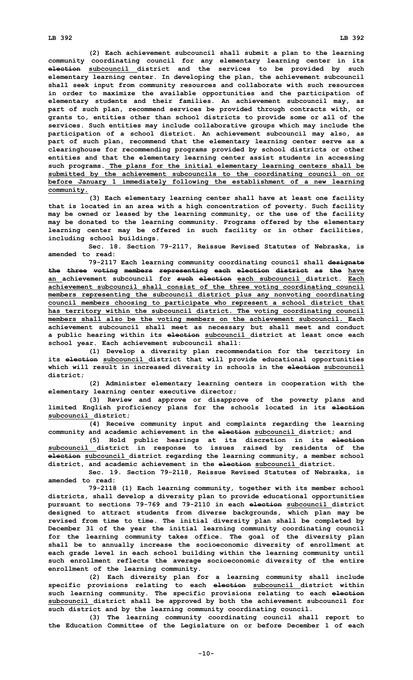**(2) Each achievement subcouncil shall submit <sup>a</sup> plan to the learning community coordinating council for any elementary learning center in its election subcouncil district and the services to be provided by such elementary learning center. In developing the plan, the achievement subcouncil shall seek input from community resources and collaborate with such resources in order to maximize the available opportunities and the participation of elementary students and their families. An achievement subcouncil may, as part of such plan, recommend services be provided through contracts with, or grants to, entities other than school districts to provide some or all of the services. Such entities may include collaborative groups which may include the participation of <sup>a</sup> school district. An achievement subcouncil may also, as part of such plan, recommend that the elementary learning center serve as <sup>a</sup> clearinghouse for recommending programs provided by school districts or other entities and that the elementary learning center assist students in accessing such programs. The plans for the initial elementary learning centers shall be submitted by the achievement subcouncils to the coordinating council on or before January 1 immediately following the establishment of <sup>a</sup> new learning community.**

**(3) Each elementary learning center shall have at least one facility that is located in an area with <sup>a</sup> high concentration of poverty. Such facility may be owned or leased by the learning community, or the use of the facility may be donated to the learning community. Programs offered by the elementary learning center may be offered in such facility or in other facilities, including school buildings.**

**Sec. 18. Section 79-2117, Reissue Revised Statutes of Nebraska, is amended to read:**

**79-2117 Each learning community coordinating council shall designate the three voting members representing each election district as the have an achievement subcouncil for such election each subcouncil district. Each achievement subcouncil shall consist of the three voting coordinating council members representing the subcouncil district plus any nonvoting coordinating council members choosing to participate who represent <sup>a</sup> school district that has territory within the subcouncil district. The voting coordinating council members shall also be the voting members on the achievement subcouncil. Each achievement subcouncil shall meet as necessary but shall meet and conduct <sup>a</sup> public hearing within its election subcouncil district at least once each school year. Each achievement subcouncil shall:**

**(1) Develop <sup>a</sup> diversity plan recommendation for the territory in its election subcouncil district that will provide educational opportunities which will result in increased diversity in schools in the election subcouncil district;**

**(2) Administer elementary learning centers in cooperation with the elementary learning center executive director;**

**(3) Review and approve or disapprove of the poverty plans and limited English proficiency plans for the schools located in its election subcouncil district;**

**(4) Receive community input and complaints regarding the learning community and academic achievement in the election subcouncil district; and**

**(5) Hold public hearings at its discretion in its election subcouncil district in response to issues raised by residents of the election subcouncil district regarding the learning community, <sup>a</sup> member school district, and academic achievement in the election subcouncil district.**

**Sec. 19. Section 79-2118, Reissue Revised Statutes of Nebraska, is amended to read:**

**79-2118 (1) Each learning community, together with its member school districts, shall develop <sup>a</sup> diversity plan to provide educational opportunities pursuant to sections 79-769 and 79-2110 in each election subcouncil district designed to attract students from diverse backgrounds, which plan may be revised from time to time. The initial diversity plan shall be completed by December 31 of the year the initial learning community coordinating council for the learning community takes office. The goal of the diversity plan shall be to annually increase the socioeconomic diversity of enrollment at each grade level in each school building within the learning community until such enrollment reflects the average socioeconomic diversity of the entire enrollment of the learning community.**

**(2) Each diversity plan for <sup>a</sup> learning community shall include specific provisions relating to each election subcouncil district within such learning community. The specific provisions relating to each election subcouncil district shall be approved by both the achievement subcouncil for such district and by the learning community coordinating council.**

**(3) The learning community coordinating council shall report to the Education Committee of the Legislature on or before December 1 of each**